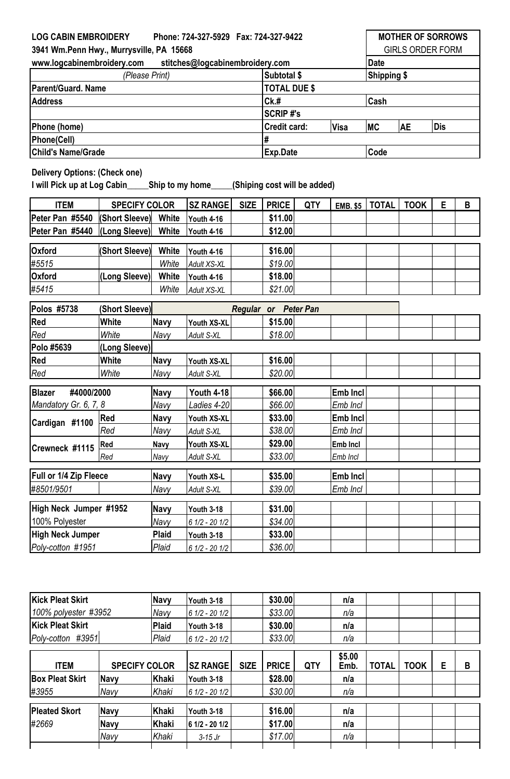## **Visa MC AE** <code>ITEM | SPECIFY COLOR |SZ RANGE| SIZE | PRICE | QTY | EMB. \$5 | TOTAL | TOOK | E | B</code> **Peter Pan #5540 (Short Sleeve) White Youth 4-16 \$11.00 Peter Pan #5440 (Long Sleeve) White Youth 4-16 \$12.00 Oxford (Short Sleeve) White Youth 4-16 \$16.00** *#5515 White Adult XS-XL \$19.00* **Oxford (Long Sleeve) White Youth 4-16 \$18.00** *#5415 White Adult XS-XL \$21.00* **Polos #5738 (Short Sleeve) Red White Navy Youth XS-XL \$15.00** *Red White Navy Adult S-XL \$18.00* **Polo #5639 (Long Sleeve) Red White Navy Youth XS-XL \$16.00** *Red White Navy Adult S-XL \$20.00* **Navy Youth 4-18 \$66.00 Emb Incl** *Navy Ladies 4-20 \$66.00 Emb Incl* **Red Navy Youth XS-XL \$33.00 Emb Incl** *Red Navy Adult S-XL \$38.00 Emb Incl* **Red Navy Youth XS-XL \$29.00 Emb Incl** *Red Navy Adult S-XL \$33.00 Emb Incl* **Navy Youth XS-L \$35.00 Emb Incl** *#8501/9501 Navy Adult S-XL \$39.00 Emb Incl* **LOG CABIN EMBROIDERY Phone: 724-327-5929 Fax: 724-327-9422 MOTHER OF SORROWS 3941 Wm.Penn Hwy., Murrysville, PA 15668** GIRLS ORDER FORM **www.logcabinembroidery.com stitches@logcabinembroidery.com Date** *(Please Print)* **Subtotal \$ Shipping \$** Parent/Guard. Name **TOTAL DUE \$ Address Ck.# Cash SCRIP #'s** Phone (home) **Credit card:**  $|V$ isa  $|MC$   $|AE$   $|Dis$ **Phone(Cell) # Child's Name/Grade Exp.Date Code Delivery Options: (Check one) I will Pick up at Log Cabin\_\_\_\_\_Ship to my home\_\_\_\_\_(Shiping cost will be added)** *Regular or Peter Pan* **Blazer #4000/2000** *Mandatory Gr. 6, 7, 8* **Cardigan #1100 Crewneck #1115 Full or 1/4 Zip Fleece**

| Kick Pleat Skirt<br>100% polyester #3952<br>Kick Pleat Skirt<br>Poly-cotton #3951 |      | Navy                 | Youth 3-18                                     |             | \$30.00      |            | n/a               |              |      |   |   |
|-----------------------------------------------------------------------------------|------|----------------------|------------------------------------------------|-------------|--------------|------------|-------------------|--------------|------|---|---|
|                                                                                   |      | Navy                 | 6 1/2 - 20 1/2<br>Youth 3-18<br>6 1/2 - 20 1/2 |             | \$33.00      |            | n/a<br>n/a<br>n/a |              |      |   |   |
|                                                                                   |      | Plaid                |                                                |             | \$30.00      |            |                   |              |      |   |   |
|                                                                                   |      | Plaid                |                                                |             | \$33.00      |            |                   |              |      |   |   |
| <b>ITEM</b>                                                                       |      | <b>SPECIFY COLOR</b> | <b>SZ RANGE</b>                                | <b>SIZE</b> | <b>PRICE</b> | <b>QTY</b> | \$5.00<br>Emb.    | <b>TOTAL</b> | TOOK | E | B |
| <b>Box Pleat Skirt</b>                                                            | Navy | Khaki                | <b>Youth 3-18</b>                              |             | \$28.00      |            | n/a               |              |      |   |   |
| #3955                                                                             | Navy | Khaki                | 6 1/2 - 20 1/2                                 |             | \$30.00      |            | n/a               |              |      |   |   |
| <b>Pleated Skort</b>                                                              | Navy | Khaki                | Youth 3-18                                     |             | \$16.00      |            | n/a               |              |      |   |   |
| #2669                                                                             | Navy | Khaki                | 6 1/2 - 20 1/2                                 |             | \$17.00      |            | n/a               |              |      |   |   |
|                                                                                   | Navy | Khaki                | $3-15$ Jr                                      |             | \$17.00      |            | n/a               |              |      |   |   |

**Navy Youth 3-18 \$31.00** *Navy 6 1/2 - 20 1/2 \$34.00* **Plaid Youth 3-18 \$33.00**

*Poly-cotton #1951 Plaid 6 1/2 - 20 1/2 \$36.00*

**High Neck Jumper #1952**

100% Polyester **High Neck Jumper**